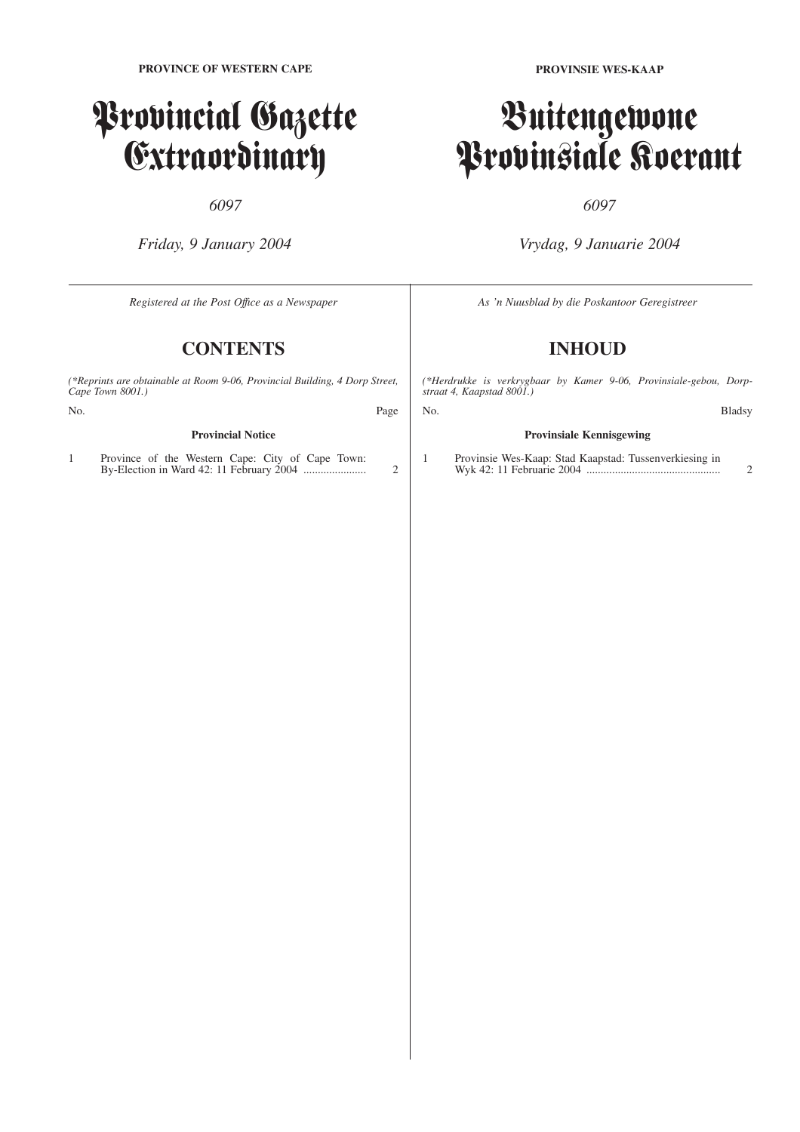# Provincial Gazette Extraordinary

# *6097*

*Friday, 9 January 2004*

**PROVINSIE WES-KAAP**

# Buitengewone Provinsiale Koerant

# *6097*

*Vrydag, 9 Januarie 2004*

*Registered at the Post Offıce as a Newspaper* **CONTENTS** *(\*Reprints are obtainable at Room 9-06, Provincial Building, 4 Dorp Street, Cape Town 8001.)* No. Page **Provincial Notice** 1 Province of the Western Cape: City of Cape Town: By-Election in Ward 42: 11 February 2004 ...................... 2 *As 'n Nuusblad by die Poskantoor Geregistreer* **INHOUD** *(\*Herdrukke is verkrygbaar by Kamer 9-06, Provinsiale-gebou, Dorpstraat 4, Kaapstad 8001.)* No. Bladsy **Provinsiale Kennisgewing** 1 Provinsie Wes-Kaap: Stad Kaapstad: Tussenverkiesing in Wyk 42: 11 Februarie 2004 ............................................... 2